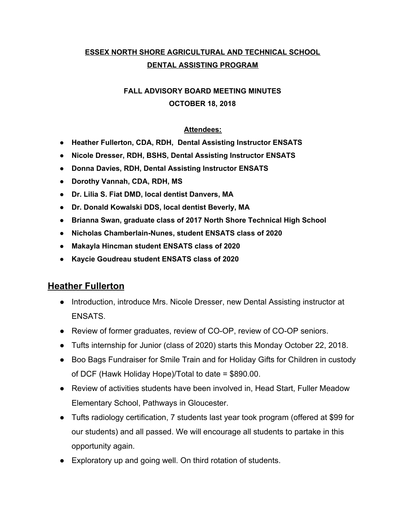### **ESSEX NORTH SHORE AGRICULTURAL AND TECHNICAL SCHOOL DENTAL ASSISTING PROGRAM**

### **FALL ADVISORY BOARD MEETING MINUTES OCTOBER 18, 2018**

#### **Attendees:**

- **● Heather Fullerton, CDA, RDH, Dental Assisting Instructor ENSATS**
- **● Nicole Dresser, RDH, BSHS, Dental Assisting Instructor ENSATS**
- **● Donna Davies, RDH, Dental Assisting Instructor ENSATS**
- **● Dorothy Vannah, CDA, RDH, MS**
- **● Dr. Lilia S. Fiat DMD, local dentist Danvers, MA**
- **● Dr. Donald Kowalski DDS, local dentist Beverly, MA**
- **● Brianna Swan, graduate class of 2017 North Shore Technical High School**
- **● Nicholas Chamberlain-Nunes, student ENSATS class of 2020**
- **● Makayla Hincman student ENSATS class of 2020**
- **● Kaycie Goudreau student ENSATS class of 2020**

#### **Heather Fullerton**

- Introduction, introduce Mrs. Nicole Dresser, new Dental Assisting instructor at ENSATS.
- Review of former graduates, review of CO-OP, review of CO-OP seniors.
- Tufts internship for Junior (class of 2020) starts this Monday October 22, 2018.
- Boo Bags Fundraiser for Smile Train and for Holiday Gifts for Children in custody of DCF (Hawk Holiday Hope)/Total to date = \$890.00.
- Review of activities students have been involved in, Head Start, Fuller Meadow Elementary School, Pathways in Gloucester.
- Tufts radiology certification, 7 students last year took program (offered at \$99 for our students) and all passed. We will encourage all students to partake in this opportunity again.
- Exploratory up and going well. On third rotation of students.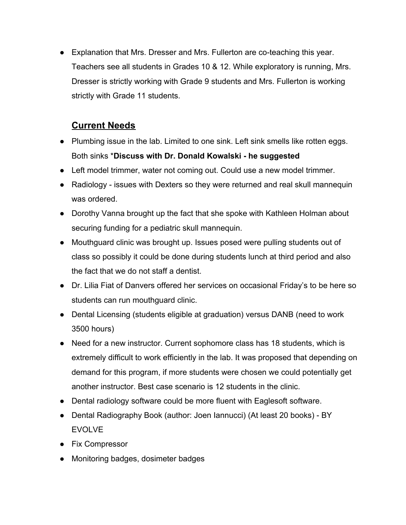● Explanation that Mrs. Dresser and Mrs. Fullerton are co-teaching this year. Teachers see all students in Grades 10 & 12. While exploratory is running, Mrs. Dresser is strictly working with Grade 9 students and Mrs. Fullerton is working strictly with Grade 11 students.

# **Current Needs**

- Plumbing issue in the lab. Limited to one sink. Left sink smells like rotten eggs. Both sinks \***Discuss with Dr. Donald Kowalski - he suggested**
- Left model trimmer, water not coming out. Could use a new model trimmer.
- Radiology issues with Dexters so they were returned and real skull mannequin was ordered.
- Dorothy Vanna brought up the fact that she spoke with Kathleen Holman about securing funding for a pediatric skull mannequin.
- Mouthguard clinic was brought up. Issues posed were pulling students out of class so possibly it could be done during students lunch at third period and also the fact that we do not staff a dentist.
- Dr. Lilia Fiat of Danvers offered her services on occasional Friday's to be here so students can run mouthguard clinic.
- Dental Licensing (students eligible at graduation) versus DANB (need to work 3500 hours)
- Need for a new instructor. Current sophomore class has 18 students, which is extremely difficult to work efficiently in the lab. It was proposed that depending on demand for this program, if more students were chosen we could potentially get another instructor. Best case scenario is 12 students in the clinic.
- Dental radiology software could be more fluent with Eaglesoft software.
- Dental Radiography Book (author: Joen Iannucci) (At least 20 books) BY EVOLVE
- Fix Compressor
- Monitoring badges, dosimeter badges